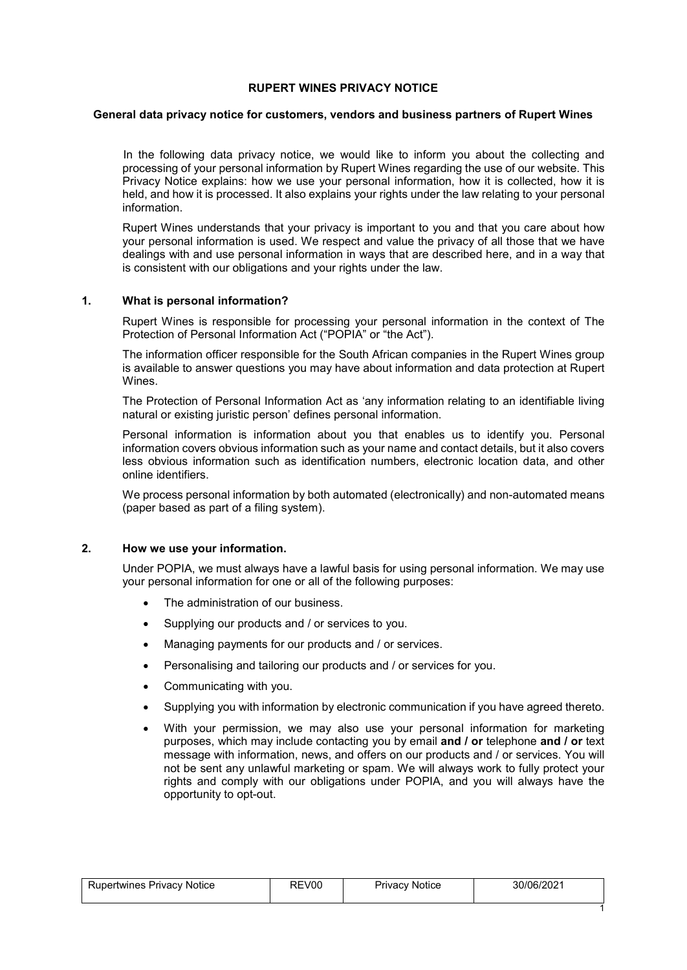### **RUPERT WINES PRIVACY NOTICE**

#### **General data privacy notice for customers, vendors and business partners of Rupert Wines**

In the following data privacy notice, we would like to inform you about the collecting and processing of your personal information by Rupert Wines regarding the use of our website. This Privacy Notice explains: how we use your personal information, how it is collected, how it is held, and how it is processed. It also explains your rights under the law relating to your personal information.

Rupert Wines understands that your privacy is important to you and that you care about how your personal information is used. We respect and value the privacy of all those that we have dealings with and use personal information in ways that are described here, and in a way that is consistent with our obligations and your rights under the law.

### **1. What is personal information?**

Rupert Wines is responsible for processing your personal information in the context of The Protection of Personal Information Act ("POPIA" or "the Act").

The information officer responsible for the South African companies in the Rupert Wines group is available to answer questions you may have about information and data protection at Rupert Wines.

The Protection of Personal Information Act as 'any information relating to an identifiable living natural or existing juristic person' defines personal information.

Personal information is information about you that enables us to identify you. Personal information covers obvious information such as your name and contact details, but it also covers less obvious information such as identification numbers, electronic location data, and other online identifiers.

We process personal information by both automated (electronically) and non-automated means (paper based as part of a filing system).

# **2. How we use your information.**

Under POPIA, we must always have a lawful basis for using personal information. We may use your personal information for one or all of the following purposes:

- The administration of our business.
- Supplying our products and / or services to you.
- Managing payments for our products and / or services.
- Personalising and tailoring our products and / or services for you.
- Communicating with you.
- Supplying you with information by electronic communication if you have agreed thereto.
- With your permission, we may also use your personal information for marketing purposes, which may include contacting you by email **and / or** telephone **and / or** text message with information, news, and offers on our products and / or services. You will not be sent any unlawful marketing or spam. We will always work to fully protect your rights and comply with our obligations under POPIA, and you will always have the opportunity to opt-out.

1

| Rupertwines Privacy Notice | REV00 | <b>Privacy Notice</b> | 30/06/2021 |
|----------------------------|-------|-----------------------|------------|
|                            |       |                       |            |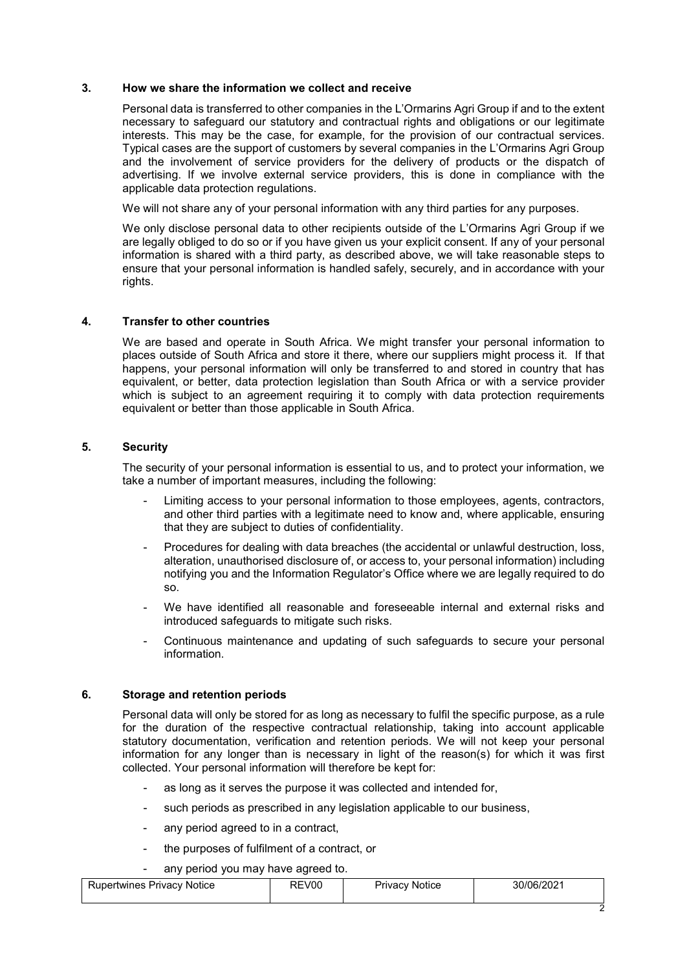### **3. How we share the information we collect and receive**

Personal data is transferred to other companies in the L'Ormarins Agri Group if and to the extent necessary to safeguard our statutory and contractual rights and obligations or our legitimate interests. This may be the case, for example, for the provision of our contractual services. Typical cases are the support of customers by several companies in the L'Ormarins Agri Group and the involvement of service providers for the delivery of products or the dispatch of advertising. If we involve external service providers, this is done in compliance with the applicable data protection regulations.

We will not share any of your personal information with any third parties for any purposes.

We only disclose personal data to other recipients outside of the L'Ormarins Agri Group if we are legally obliged to do so or if you have given us your explicit consent. If any of your personal information is shared with a third party, as described above, we will take reasonable steps to ensure that your personal information is handled safely, securely, and in accordance with your rights.

### **4. Transfer to other countries**

We are based and operate in South Africa. We might transfer your personal information to places outside of South Africa and store it there, where our suppliers might process it. If that happens, your personal information will only be transferred to and stored in country that has equivalent, or better, data protection legislation than South Africa or with a service provider which is subject to an agreement requiring it to comply with data protection requirements equivalent or better than those applicable in South Africa.

### **5. Security**

The security of your personal information is essential to us, and to protect your information, we take a number of important measures, including the following:

- Limiting access to your personal information to those employees, agents, contractors, and other third parties with a legitimate need to know and, where applicable, ensuring that they are subject to duties of confidentiality.
- Procedures for dealing with data breaches (the accidental or unlawful destruction, loss, alteration, unauthorised disclosure of, or access to, your personal information) including notifying you and the Information Regulator's Office where we are legally required to do so.
- We have identified all reasonable and foreseeable internal and external risks and introduced safeguards to mitigate such risks.
- Continuous maintenance and updating of such safeguards to secure your personal information.

## **6. Storage and retention periods**

Personal data will only be stored for as long as necessary to fulfil the specific purpose, as a rule for the duration of the respective contractual relationship, taking into account applicable statutory documentation, verification and retention periods. We will not keep your personal information for any longer than is necessary in light of the reason(s) for which it was first collected. Your personal information will therefore be kept for:

- as long as it serves the purpose it was collected and intended for,
- such periods as prescribed in any legislation applicable to our business,
- any period agreed to in a contract,
- the purposes of fulfilment of a contract, or

any period you may have agreed to.

| pertwines Privacy Notice | V00<br>╰ | <b>Notice</b><br><sup>2</sup> rivacv | 30/06/2021 |
|--------------------------|----------|--------------------------------------|------------|
|                          |          |                                      |            |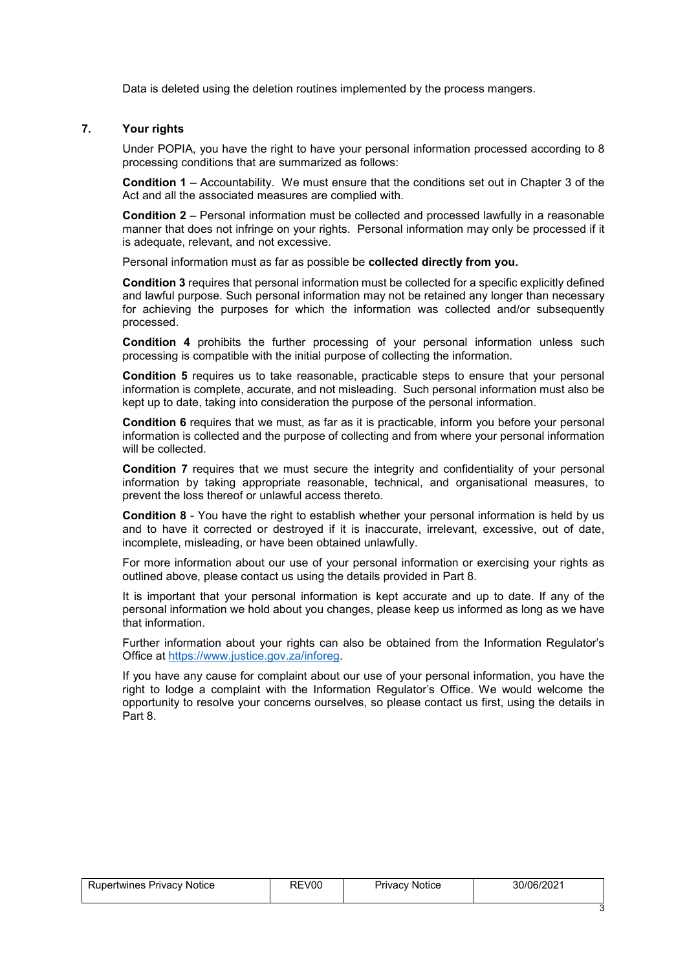Data is deleted using the deletion routines implemented by the process mangers.

## **7. Your rights**

Under POPIA, you have the right to have your personal information processed according to 8 processing conditions that are summarized as follows:

**Condition 1** – Accountability. We must ensure that the conditions set out in Chapter 3 of the Act and all the associated measures are complied with.

**Condition 2** – Personal information must be collected and processed lawfully in a reasonable manner that does not infringe on your rights. Personal information may only be processed if it is adequate, relevant, and not excessive.

Personal information must as far as possible be **collected directly from you.**

**Condition 3** requires that personal information must be collected for a specific explicitly defined and lawful purpose. Such personal information may not be retained any longer than necessary for achieving the purposes for which the information was collected and/or subsequently processed.

**Condition 4** prohibits the further processing of your personal information unless such processing is compatible with the initial purpose of collecting the information.

**Condition 5** requires us to take reasonable, practicable steps to ensure that your personal information is complete, accurate, and not misleading. Such personal information must also be kept up to date, taking into consideration the purpose of the personal information.

**Condition 6** requires that we must, as far as it is practicable, inform you before your personal information is collected and the purpose of collecting and from where your personal information will be collected.

**Condition 7** requires that we must secure the integrity and confidentiality of your personal information by taking appropriate reasonable, technical, and organisational measures, to prevent the loss thereof or unlawful access thereto.

**Condition 8** - You have the right to establish whether your personal information is held by us and to have it corrected or destroyed if it is inaccurate, irrelevant, excessive, out of date, incomplete, misleading, or have been obtained unlawfully.

For more information about our use of your personal information or exercising your rights as outlined above, please contact us using the details provided in Part 8.

It is important that your personal information is kept accurate and up to date. If any of the personal information we hold about you changes, please keep us informed as long as we have that information.

Further information about your rights can also be obtained from the Information Regulator's Office at [https://www.justice.gov.za/inforeg.](https://www.justice.gov.za/inforeg)

If you have any cause for complaint about our use of your personal information, you have the right to lodge a complaint with the Information Regulator's Office. We would welcome the opportunity to resolve your concerns ourselves, so please contact us first, using the details in Part 8.

| Rupertwines Privacy Notice | REV00 | <b>Privacy Notice</b> | 30/06/2021 |
|----------------------------|-------|-----------------------|------------|
|                            |       |                       |            |

3